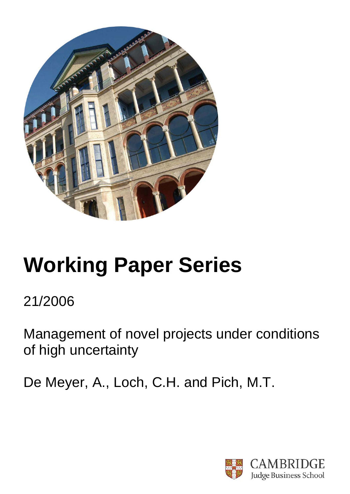

# **Working Paper Series**

21/2006

Management of novel projects under conditions of high uncertainty

De Meyer, A., Loch, C.H. and Pich, M.T.

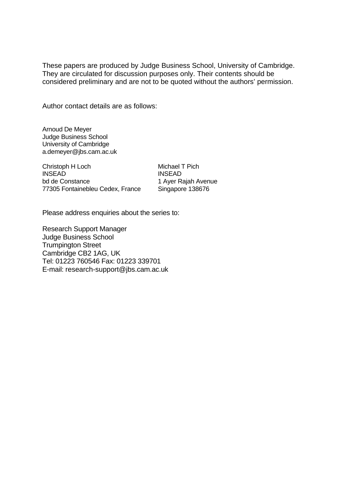These papers are produced by Judge Business School, University of Cambridge. They are circulated for discussion purposes only. Their contents should be considered preliminary and are not to be quoted without the authors' permission.

Author contact details are as follows:

Arnoud De Meyer Judge Business School University of Cambridge a.demeyer@jbs.cam.ac.uk

Christoph H Loch INSEAD bd de Constance 77305 Fontainebleu Cedex, France Michael T Pich INSEAD 1 Ayer Rajah Avenue Singapore 138676

Please address enquiries about the series to:

Research Support Manager Judge Business School Trumpington Street Cambridge CB2 1AG, UK Tel: 01223 760546 Fax: 01223 339701 E-mail: research-support@jbs.cam.ac.uk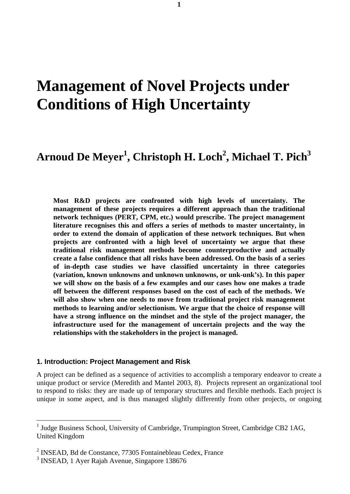# **Management of Novel Projects under Conditions of High Uncertainty**

# **Arnoud De Meyer<sup>1</sup> , Christoph H. Loch<sup>2</sup> , Michael T. Pich3**

**Most R&D projects are confronted with high levels of uncertainty. The management of these projects requires a different approach than the traditional network techniques (PERT, CPM, etc.) would prescribe. The project management literature recognises this and offers a series of methods to master uncertainty, in order to extend the domain of application of these network techniques. But when projects are confronted with a high level of uncertainty we argue that these traditional risk management methods become counterproductive and actually create a false confidence that all risks have been addressed. On the basis of a series of in-depth case studies we have classified uncertainty in three categories (variation, known unknowns and unknown unknowns, or unk-unk's). In this paper we will show on the basis of a few examples and our cases how one makes a trade off between the different responses based on the cost of each of the methods. We will also show when one needs to move from traditional project risk management methods to learning and/or selectionism. We argue that the choice of response will have a strong influence on the mindset and the style of the project manager, the infrastructure used for the management of uncertain projects and the way the relationships with the stakeholders in the project is managed.** 

#### **1. Introduction: Project Management and Risk**

A project can be defined as a sequence of activities to accomplish a temporary endeavor to create a unique product or service (Meredith and Mantel 2003, 8). Projects represent an organizational tool to respond to risks: they are made up of temporary structures and flexible methods. Each project is unique in some aspect, and is thus managed slightly differently from other projects, or ongoing

 $\overline{a}$ 

<sup>&</sup>lt;sup>1</sup> Judge Business School, University of Cambridge, Trumpington Street, Cambridge CB2 1AG, United Kingdom

<sup>&</sup>lt;sup>2</sup> INSEAD, Bd de Constance, 77305 Fontainebleau Cedex, France

<sup>&</sup>lt;sup>3</sup> INSEAD, 1 Ayer Rajah Avenue, Singapore 138676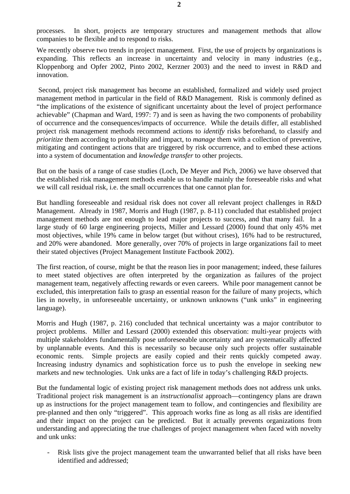processes. In short, projects are temporary structures and management methods that allow companies to be flexible and to respond to risks.

We recently observe two trends in project management. First, the use of projects by organizations is expanding. This reflects an increase in uncertainty and velocity in many industries (e.g., Kloppenborg and Opfer 2002, Pinto 2002, Kerzner 2003) and the need to invest in R&D and innovation.

 Second, project risk management has become an established, formalized and widely used project management method in particular in the field of R&D Management. Risk is commonly defined as "the implications of the existence of significant uncertainty about the level of project performance achievable" (Chapman and Ward, 1997: 7) and is seen as having the two components of probability of occurrence and the consequences/impacts of occurrence. While the details differ, all established project risk management methods recommend actions to *identify* risks beforehand, to classify and *prioritize* them according to probability and impact, to *manage* them with a collection of preventive, mitigating and contingent actions that are triggered by risk occurrence, and to embed these actions into a system of documentation and *knowledge transfer* to other projects.

But on the basis of a range of case studies (Loch, De Meyer and Pich, 2006) we have observed that the established risk management methods enable us to handle mainly the foreseeable risks and what we will call residual risk, i.e. the small occurrences that one cannot plan for.

But handling foreseeable and residual risk does not cover all relevant project challenges in R&D Management. Already in 1987, Morris and Hugh (1987, p. 8-11) concluded that established project management methods are not enough to lead major projects to success, and that many fail. In a large study of 60 large engineering projects, Miller and Lessard (2000) found that only 45% met most objectives, while 19% came in below target (but without crises), 16% had to be restructured, and 20% were abandoned. More generally, over 70% of projects in large organizations fail to meet their stated objectives (Project Management Institute Factbook 2002).

The first reaction, of course, might be that the reason lies in poor management; indeed, these failures to meet stated objectives are often interpreted by the organization as failures of the project management team, negatively affecting rewards or even careers. While poor management cannot be excluded, this interpretation fails to grasp an essential reason for the failure of many projects, which lies in novelty, in unforeseeable uncertainty, or unknown unknowns ("unk unks" in engineering language).

Morris and Hugh (1987, p. 216) concluded that technical uncertainty was a major contributor to project problems. Miller and Lessard (2000) extended this observation: multi-year projects with multiple stakeholders fundamentally pose unforeseeable uncertainty and are systematically affected by unplannable events. And this is necessarily so because only such projects offer sustainable economic rents. Simple projects are easily copied and their rents quickly competed away. Increasing industry dynamics and sophistication force us to push the envelope in seeking new markets and new technologies. Unk unks are a fact of life in today's challenging R&D projects.

But the fundamental logic of existing project risk management methods does not address unk unks. Traditional project risk management is an *instructionalist* approach—contingency plans are drawn up as instructions for the project management team to follow, and contingencies and flexibility are pre-planned and then only "triggered". This approach works fine as long as all risks are identified and their impact on the project can be predicted. But it actually prevents organizations from understanding and appreciating the true challenges of project management when faced with novelty and unk unks:

- Risk lists give the project management team the unwarranted belief that all risks have been identified and addressed;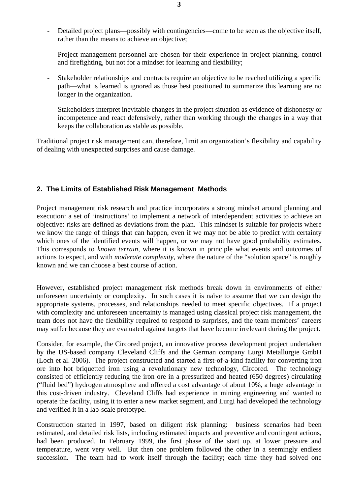- Detailed project plans—possibly with contingencies—come to be seen as the objective itself, rather than the means to achieve an objective;
- Project management personnel are chosen for their experience in project planning, control and firefighting, but not for a mindset for learning and flexibility;
- Stakeholder relationships and contracts require an objective to be reached utilizing a specific path—what is learned is ignored as those best positioned to summarize this learning are no longer in the organization.
- Stakeholders interpret inevitable changes in the project situation as evidence of dishonesty or incompetence and react defensively, rather than working through the changes in a way that keeps the collaboration as stable as possible.

Traditional project risk management can, therefore, limit an organization's flexibility and capability of dealing with unexpected surprises and cause damage.

# **2. The Limits of Established Risk Management Methods**

Project management risk research and practice incorporates a strong mindset around planning and execution: a set of 'instructions' to implement a network of interdependent activities to achieve an objective: risks are defined as deviations from the plan. This mindset is suitable for projects where we know the range of things that can happen, even if we may not be able to predict with certainty which ones of the identified events will happen, or we may not have good probability estimates. This corresponds to *known terrain*, where it is known in principle what events and outcomes of actions to expect, and with *moderate complexity*, where the nature of the "solution space" is roughly known and we can choose a best course of action.

However, established project management risk methods break down in environments of either unforeseen uncertainty or complexity. In such cases it is naïve to assume that we can design the appropriate systems, processes, and relationships needed to meet specific objectives. If a project with complexity and unforeseen uncertainty is managed using classical project risk management, the team does not have the flexibility required to respond to surprises, and the team members' careers may suffer because they are evaluated against targets that have become irrelevant during the project.

Consider, for example, the Circored project, an innovative process development project undertaken by the US-based company Cleveland Cliffs and the German company Lurgi Metallurgie GmbH (Loch et al. 2006). The project constructed and started a first-of-a-kind facility for converting iron ore into hot briquetted iron using a revolutionary new technology, Circored. The technology consisted of efficiently reducing the iron ore in a pressurized and heated (650 degrees) circulating ("fluid bed") hydrogen atmosphere and offered a cost advantage of about 10%, a huge advantage in this cost-driven industry. Cleveland Cliffs had experience in mining engineering and wanted to operate the facility, using it to enter a new market segment, and Lurgi had developed the technology and verified it in a lab-scale prototype.

Construction started in 1997, based on diligent risk planning: business scenarios had been estimated, and detailed risk lists, including estimated impacts and preventive and contingent actions, had been produced. In February 1999, the first phase of the start up, at lower pressure and temperature, went very well. But then one problem followed the other in a seemingly endless succession. The team had to work itself through the facility; each time they had solved one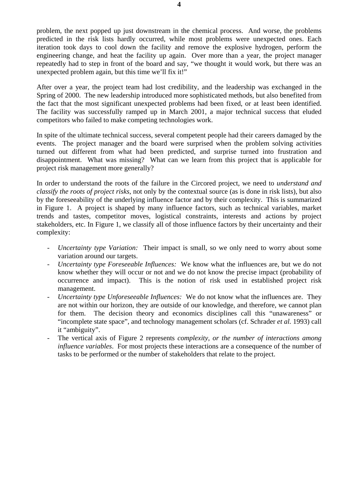problem, the next popped up just downstream in the chemical process. And worse, the problems predicted in the risk lists hardly occurred, while most problems were unexpected ones. Each iteration took days to cool down the facility and remove the explosive hydrogen, perform the engineering change, and heat the facility up again. Over more than a year, the project manager repeatedly had to step in front of the board and say, "we thought it would work, but there was an unexpected problem again, but this time we'll fix it!"

After over a year, the project team had lost credibility, and the leadership was exchanged in the Spring of 2000. The new leadership introduced more sophisticated methods, but also benefited from the fact that the most significant unexpected problems had been fixed, or at least been identified. The facility was successfully ramped up in March 2001, a major technical success that eluded competitors who failed to make competing technologies work.

In spite of the ultimate technical success, several competent people had their careers damaged by the events. The project manager and the board were surprised when the problem solving activities turned out different from what had been predicted, and surprise turned into frustration and disappointment. What was missing? What can we learn from this project that is applicable for project risk management more generally?

In order to understand the roots of the failure in the Circored project, we need to *understand and classify the roots of project risks*, not only by the contextual source (as is done in risk lists), but also by the foreseeability of the underlying influence factor and by their complexity. This is summarized in Figure 1. A project is shaped by many influence factors, such as technical variables, market trends and tastes, competitor moves, logistical constraints, interests and actions by project stakeholders, etc. In Figure 1, we classify all of those influence factors by their uncertainty and their complexity:

- *Uncertainty type Variation:* Their impact is small, so we only need to worry about some variation around our targets.
- *Uncertainty type Foreseeable Influences:* We know what the influences are, but we do not know whether they will occur or not and we do not know the precise impact (probability of occurrence and impact). This is the notion of risk used in established project risk management.
- *Uncertainty type Unforeseeable Influences:* We do not know what the influences are. They are not within our horizon, they are outside of our knowledge, and therefore, we cannot plan for them. The decision theory and economics disciplines call this "unawareness" or "incomplete state space", and technology management scholars (cf. Schrader *et al.* 1993) call it "ambiguity".
- The vertical axis of Figure 2 represents *complexity, or the number of interactions among influence variables*. For most projects these interactions are a consequence of the number of tasks to be performed or the number of stakeholders that relate to the project.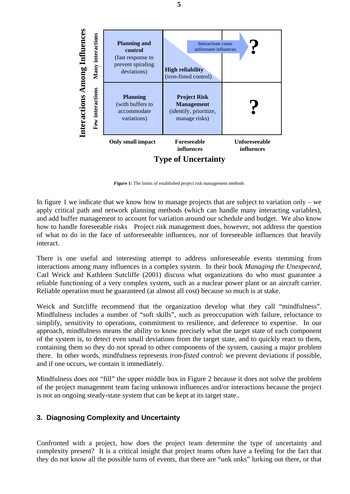

**Figure 1:** The limits of established project risk management methods

In figure 1 we indicate that we know how to manage projects that are subject to variation only – we apply critical path and network planning methods (which can handle many interacting variables), and add buffer management to account for variation around our schedule and budget. We also know how to handle foreseeable risks Project risk management does, however, not address the question of what to do in the face of unforeseeable influences, nor of foreseeable influences that heavily interact.

There is one useful and interesting attempt to address unforeseeable events stemming from interactions among many influences in a complex system. In their book *Managing the Unexpected*, Carl Weick and Kathleen Sutcliffe (2001) discuss what organizations do who must guarantee a reliable functioning of a very complex system, such as a nuclear power plant or an aircraft carrier. Reliable operation must be guaranteed (at almost all cost) because so much is at stake.

Weick and Sutcliffe recommend that the organization develop what they call "mindfulness". Mindfulness includes a number of "soft skills", such as preoccupation with failure, reluctance to simplify, sensitivity to operations, commitment to resilience, and deference to expertise. In our approach, mindfulness means the ability to know precisely what the target state of each component of the system is, to detect even small deviations from the target state, and to quickly react to them, containing them so they do not spread to other components of the system, causing a major problem there. In other words, mindfulness represents *iron-fisted control*: we prevent deviations if possible, and if one occurs, we contain it immediately.

Mindfulness does not "fill" the upper middle box in Figure 2 because it does not solve the problem of the project management team facing unknown influences and/or interactions because the project is not an ongoing steady-state system that can be kept at its target state..

# **3. Diagnosing Complexity and Uncertainty**

Confronted with a project, how does the project team determine the type of uncertainty and complexity present? It is a critical insight that project teams often have a feeling for the fact that they do not know all the possible turns of events, that there are "unk unks" lurking out there, or that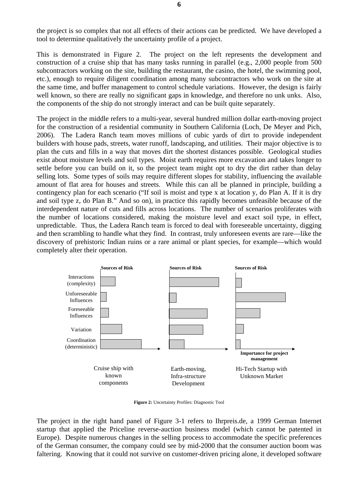the project is so complex that not all effects of their actions can be predicted. We have developed a tool to determine qualitatively the uncertainty profile of a project.

This is demonstrated in Figure 2. The project on the left represents the development and construction of a cruise ship that has many tasks running in parallel (e.g., 2,000 people from 500 subcontractors working on the site, building the restaurant, the casino, the hotel, the swimming pool, etc.), enough to require diligent coordination among many subcontractors who work on the site at the same time, and buffer management to control schedule variations. However, the design is fairly well known, so there are really no significant gaps in knowledge, and therefore no unk unks. Also, the components of the ship do not strongly interact and can be built quite separately.

The project in the middle refers to a multi-year, several hundred million dollar earth-moving project for the construction of a residential community in Southern California (Loch, De Meyer and Pich, 2006). The Ladera Ranch team moves millions of cubic yards of dirt to provide independent builders with house pads, streets, water runoff, landscaping, and utilities. Their major objective is to plan the cuts and fills in a way that moves dirt the shortest distances possible. Geological studies exist about moisture levels and soil types. Moist earth requires more excavation and takes longer to settle before you can build on it, so the project team might opt to dry the dirt rather than delay selling lots. Some types of soils may require different slopes for stability, influencing the available amount of flat area for houses and streets. While this can all be planned in principle, building a contingency plan for each scenario ("If soil is moist and type x at location y, do Plan A. If it is dry and soil type z, do Plan B." And so on), in practice this rapidly becomes unfeasible because of the interdependent nature of cuts and fills across locations. The number of scenarios proliferates with the number of locations considered, making the moisture level and exact soil type, in effect, unpredictable. Thus, the Ladera Ranch team is forced to deal with foreseeable uncertainty, digging and then scrambling to handle what they find. In contrast, truly unforeseen events are rare—like the discovery of prehistoric Indian ruins or a rare animal or plant species, for example—which would completely alter their operation.



**Figure 2:** Uncertainty Profiles: Diagnostic Tool

The project in the right hand panel of Figure 3-1 refers to Ihrpreis.de, a 1999 German Internet startup that applied the Priceline reverse-auction business model (which cannot be patented in Europe). Despite numerous changes in the selling process to accommodate the specific preferences of the German consumer, the company could see by mid-2000 that the consumer auction boom was faltering. Knowing that it could not survive on customer-driven pricing alone, it developed software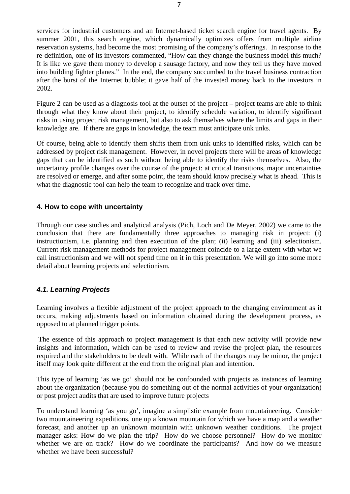services for industrial customers and an Internet-based ticket search engine for travel agents. By summer 2001, this search engine, which dynamically optimizes offers from multiple airline reservation systems, had become the most promising of the company's offerings. In response to the re-definition, one of its investors commented, "How can they change the business model this much? It is like we gave them money to develop a sausage factory, and now they tell us they have moved into building fighter planes." In the end, the company succumbed to the travel business contraction after the burst of the Internet bubble; it gave half of the invested money back to the investors in 2002.

Figure 2 can be used as a diagnosis tool at the outset of the project – project teams are able to think through what they know about their project, to identify schedule variation, to identify significant risks in using project risk management, but also to ask themselves where the limits and gaps in their knowledge are. If there are gaps in knowledge, the team must anticipate unk unks.

Of course, being able to identify them shifts them from unk unks to identified risks, which can be addressed by project risk management. However, in novel projects there will be areas of knowledge gaps that can be identified as such without being able to identify the risks themselves. Also, the uncertainty profile changes over the course of the project: at critical transitions, major uncertainties are resolved or emerge, and after some point, the team should know precisely what is ahead. This is what the diagnostic tool can help the team to recognize and track over time.

# **4. How to cope with uncertainty**

Through our case studies and analytical analysis (Pich, Loch and De Meyer, 2002) we came to the conclusion that there are fundamentally three approaches to managing risk in project: (i) instructionism, i.e. planning and then execution of the plan; (ii) learning and (iii) selectionism. Current risk management methods for project management coincide to a large extent with what we call instructionism and we will not spend time on it in this presentation. We will go into some more detail about learning projects and selectionism.

# *4.1. Learning Projects*

Learning involves a flexible adjustment of the project approach to the changing environment as it occurs, making adjustments based on information obtained during the development process, as opposed to at planned trigger points.

 The essence of this approach to project management is that each new activity will provide new insights and information, which can be used to review and revise the project plan, the resources required and the stakeholders to be dealt with. While each of the changes may be minor, the project itself may look quite different at the end from the original plan and intention.

This type of learning 'as we go' should not be confounded with projects as instances of learning about the organization (because you do something out of the normal activities of your organization) or post project audits that are used to improve future projects

To understand learning 'as you go', imagine a simplistic example from mountaineering. Consider two mountaineering expeditions, one up a known mountain for which we have a map and a weather forecast, and another up an unknown mountain with unknown weather conditions. The project manager asks: How do we plan the trip? How do we choose personnel? How do we monitor whether we are on track? How do we coordinate the participants? And how do we measure whether we have been successful?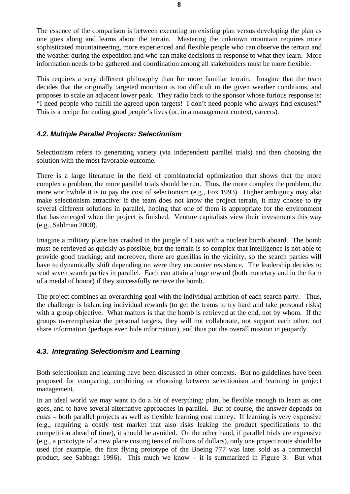The essence of the comparison is between executing an existing plan versus developing the plan as one goes along and learns about the terrain. Mastering the unknown mountain requires more sophisticated mountaineering, more experienced and flexible people who can observe the terrain and the weather during the expedition and who can make decisions in response to what they learn. More information needs to be gathered and coordination among all stakeholders must be more flexible.

This requires a very different philosophy than for more familiar terrain. Imagine that the team decides that the originally targeted mountain is too difficult in the given weather conditions, and proposes to scale an adjacent lower peak. They radio back to the sponsor whose furious response is: "I need people who fulfill the agreed upon targets! I don't need people who always find excuses!" This is a recipe for ending good people's lives (or, in a management context, careers).

# *4.2. Multiple Parallel Projects: Selectionism*

Selectionism refers to generating variety (via independent parallel trials) and then choosing the solution with the most favorable outcome.

There is a large literature in the field of combinatorial optimization that shows that the more complex a problem, the more parallel trials should be run. Thus, the more complex the problem, the more worthwhile it is to pay the cost of selectionism (e.g., Fox 1993). Higher ambiguity may also make selectionism attractive: if the team does not know the project terrain, it may choose to try several different solutions in parallel, hoping that one of them is appropriate for the environment that has emerged when the project is finished. Venture capitalists view their investments this way (e.g., Sahlman 2000).

Imagine a military plane has crashed in the jungle of Laos with a nuclear bomb aboard. The bomb must be retrieved as quickly as possible, but the terrain is so complex that intelligence is not able to provide good tracking; and moreover, there are guerillas in the vicinity, so the search parties will have to dynamically shift depending on were they encounter resistance. The leadership decides to send seven search parties in parallel. Each can attain a huge reward (both monetary and in the form of a medal of honor) if they successfully retrieve the bomb.

The project combines an overarching goal with the individual ambition of each search party. Thus, the challenge is balancing individual rewards (to get the teams to try hard and take personal risks) with a group objective. What matters is that the bomb is retrieved at the end, not by whom. If the groups overemphasize the personal targets, they will not collaborate, not support each other, not share information (perhaps even hide information), and thus put the overall mission in jeopardy.

# *4.3. Integrating Selectionism and Learning*

Both selectionism and learning have been discussed in other contexts. But no guidelines have been proposed for comparing, combining or choosing between selectionism and learning in project management.

In an ideal world we may want to do a bit of everything: plan, be flexible enough to learn as one goes, and to have several alternative approaches in parallel. But of course, the answer depends on *costs* – both parallel projects as well as flexible learning cost money. If learning is very expensive (e.g., requiring a costly test market that also risks leaking the product specifications to the competition ahead of time), it should be avoided. On the other hand, if parallel trials are expensive (e.g., a prototype of a new plane costing tens of millions of dollars), only one project route should be used (for example, the first flying prototype of the Boeing 777 was later sold as a commercial product, see Sabbagh 1996). This much we know – it is summarized in Figure 3. But what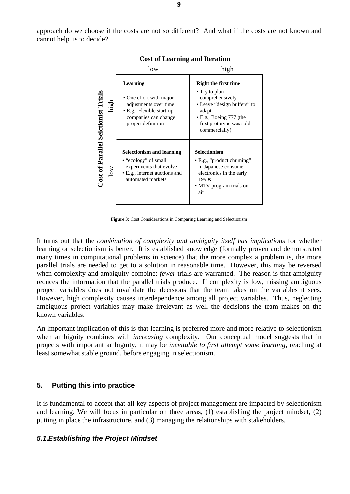approach do we choose if the costs are not so different? And what if the costs are not known and cannot help us to decide?



#### **Cost of Learning and Iteration**

**Figure 3:** Cost Considerations in Comparing Learning and Selectionism

It turns out that the *combination of complexity and ambiguity itself has implications* for whether learning or selectionism is better. It is established knowledge (formally proven and demonstrated many times in computational problems in science) that the more complex a problem is, the more parallel trials are needed to get to a solution in reasonable time. However, this may be reversed when complexity and ambiguity combine: *fewer* trials are warranted. The reason is that ambiguity reduces the information that the parallel trials produce. If complexity is low, missing ambiguous project variables does not invalidate the decisions that the team takes on the variables it sees. However, high complexity causes interdependence among all project variables. Thus, neglecting ambiguous project variables may make irrelevant as well the decisions the team makes on the known variables.

An important implication of this is that learning is preferred more and more relative to selectionism when ambiguity combines with *increasing* complexity. Our conceptual model suggests that in projects with important ambiguity, it may be *inevitable to first attempt some learning*, reaching at least somewhat stable ground, before engaging in selectionism.

# **5. Putting this into practice**

It is fundamental to accept that all key aspects of project management are impacted by selectionism and learning. We will focus in particular on three areas, (1) establishing the project mindset, (2) putting in place the infrastructure, and (3) managing the relationships with stakeholders.

# *5.1.Establishing the Project Mindset*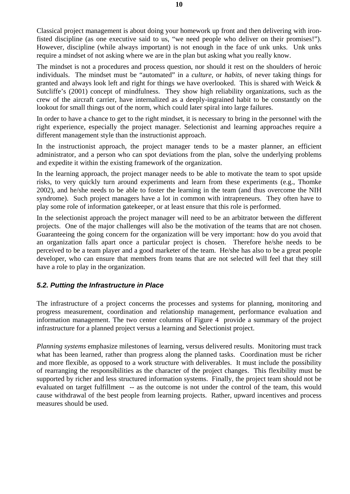Classical project management is about doing your homework up front and then delivering with ironfisted discipline (as one executive said to us, "we need people who deliver on their promises!"). However, discipline (while always important) is not enough in the face of unk unks. Unk unks require a mindset of not asking where we are in the plan but asking what you really know.

The mindset is not a procedures and process question, nor should it rest on the shoulders of heroic individuals. The mindset must be "automated" in a *culture*, or *habits*, of never taking things for granted and always look left and right for things we have overlooked. This is shared with Weick & Sutcliffe's (2001) concept of mindfulness. They show high reliability organizations, such as the crew of the aircraft carrier, have internalized as a deeply-ingrained habit to be constantly on the lookout for small things out of the norm, which could later spiral into large failures.

In order to have a chance to get to the right mindset, it is necessary to bring in the personnel with the right experience, especially the project manager. Selectionist and learning approaches require a different management style than the instructionist approach.

In the instructionist approach, the project manager tends to be a master planner, an efficient administrator, and a person who can spot deviations from the plan, solve the underlying problems and expedite it within the existing framework of the organization.

In the learning approach, the project manager needs to be able to motivate the team to spot upside risks, to very quickly turn around experiments and learn from these experiments (e.g., Thomke 2002), and he/she needs to be able to foster the learning in the team (and thus overcome the NIH syndrome). Such project managers have a lot in common with intrapreneurs. They often have to play some role of information gatekeeper, or at least ensure that this role is performed.

In the selectionist approach the project manager will need to be an arbitrator between the different projects. One of the major challenges will also be the motivation of the teams that are not chosen. Guaranteeing the going concern for the organization will be very important: how do you avoid that an organization falls apart once a particular project is chosen. Therefore he/she needs to be perceived to be a team player and a good marketer of the team. He/she has also to be a great people developer, who can ensure that members from teams that are not selected will feel that they still have a role to play in the organization.

# *5.2. Putting the Infrastructure in Place*

The infrastructure of a project concerns the processes and systems for planning, monitoring and progress measurement, coordination and relationship management, performance evaluation and information management. The two center columns of Figure 4 provide a summary of the project infrastructure for a planned project versus a learning and Selectionist project.

*Planning systems* emphasize milestones of learning, versus delivered results. Monitoring must track what has been learned, rather than progress along the planned tasks. Coordination must be richer and more flexible, as opposed to a work structure with deliverables. It must include the possibility of rearranging the responsibilities as the character of the project changes. This flexibility must be supported by richer and less structured information systems. Finally, the project team should not be evaluated on target fulfillment -- as the outcome is not under the control of the team, this would cause withdrawal of the best people from learning projects. Rather, upward incentives and process measures should be used.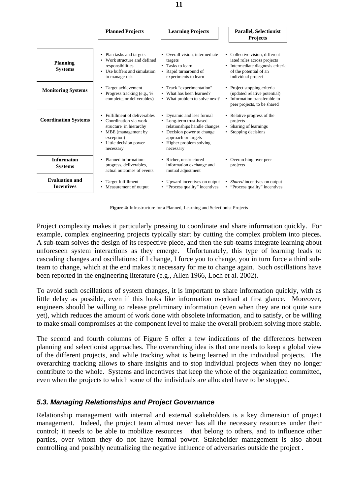|                                            | <b>Planned Projects</b>                                                                                                                                          | <b>Learning Projects</b>                                                                                                                                                           | <b>Parallel, Selectionist</b><br><b>Projects</b>                                                                                                    |
|--------------------------------------------|------------------------------------------------------------------------------------------------------------------------------------------------------------------|------------------------------------------------------------------------------------------------------------------------------------------------------------------------------------|-----------------------------------------------------------------------------------------------------------------------------------------------------|
| <b>Planning</b><br><b>Systems</b>          | • Plan tasks and targets<br>• Work structure and defined<br>responsibilities<br>• Use buffers and simulation<br>to manage risk                                   | • Overall vision, intermediate<br>targets<br>• Tasks to learn<br>• Rapid turnaround of<br>experiments to learn                                                                     | • Collective vision, different-<br>iated roles across projects<br>• Intermediate diagnosis criteria<br>of the potential of an<br>individual project |
| <b>Monitoring Systems</b>                  | • Target achievement<br>• Progress tracking (e.g., $%$<br>complete, or deliverables)                                                                             | • Track "experimentation"<br>• What has been learned?<br>• What problem to solve next?                                                                                             | • Project stopping criteria<br>(updated relative potential)<br>• Information transferable to<br>peer projects, to be shared                         |
| <b>Coordination Systems</b>                | • Fulfillment of deliverables<br>• Coordination via work<br>structure in hierarchy<br>• MBE (management by<br>exception)<br>• Little decision power<br>necessary | • Dynamic and less formal<br>• Long-term trust-based<br>relationships handle changes<br>• Decision power to change<br>approach or targets<br>• Higher problem solving<br>necessary | • Relative progress of the<br>projects<br>• Sharing of learnings<br>• Stopping decisions                                                            |
| <b>Informaton</b><br><b>Systems</b>        | • Planned information:<br>progress, deliverables,<br>actual outcomes of events                                                                                   | • Richer, unstructured<br>information exchange and<br>mutual adjustment                                                                                                            | • Overarching over peer<br>projects                                                                                                                 |
| <b>Evaluation and</b><br><b>Incentives</b> | • Target fulfillment<br>• Measurement of output                                                                                                                  | • Upward incentives on output<br>• "Process quality" incentives                                                                                                                    | • <i>Shared</i> incentives on output<br>• "Process quality" incentives                                                                              |

**Figure 4:** Infrastructure for a Planned, Learning and Selectionist Projects

Project complexity makes it particularly pressing to coordinate and share information quickly. For example, complex engineering projects typically start by cutting the complex problem into pieces. A sub-team solves the design of its respective piece, and then the sub-teams integrate learning about unforeseen system interactions as they emerge. Unfortunately, this type of learning leads to cascading changes and oscillations: if I change, I force you to change, you in turn force a third subteam to change, which at the end makes it necessary for me to change again. Such oscillations have been reported in the engineering literature (e.g., Allen 1966, Loch et al. 2002).

To avoid such oscillations of system changes, it is important to share information quickly, with as little delay as possible, even if this looks like information overload at first glance. Moreover, engineers should be willing to release preliminary information (even when they are not quite sure yet), which reduces the amount of work done with obsolete information, and to satisfy, or be willing to make small compromises at the component level to make the overall problem solving more stable.

The second and fourth columns of Figure 5 offer a few indications of the differences between planning and selectionist approaches. The overarching idea is that one needs to keep a global view of the different projects, and while tracking what is being learned in the individual projects. The overarching tracking allows to share insights and to stop individual projects when they no longer contribute to the whole. Systems and incentives that keep the whole of the organization committed, even when the projects to which some of the individuals are allocated have to be stopped.

# *5.3. Managing Relationships and Project Governance*

Relationship management with internal and external stakeholders is a key dimension of project management. Indeed, the project team almost never has all the necessary resources under their control; it needs to be able to mobilize resources that belong to others, and to influence other parties, over whom they do not have formal power. Stakeholder management is also about controlling and possibly neutralizing the negative influence of adversaries outside the project .

**11**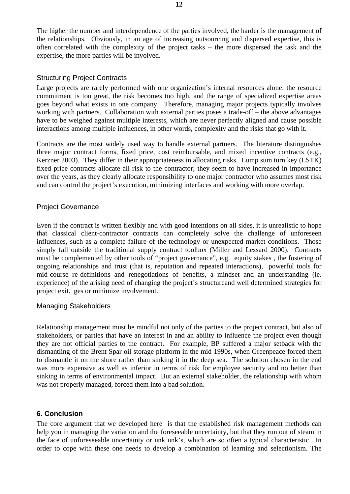The higher the number and interdependence of the parties involved, the harder is the management of the relationships. Obviously, in an age of increasing outsourcing and dispersed expertise, this is often correlated with the complexity of the project tasks – the more dispersed the task and the expertise, the more parties will be involved.

# Structuring Project Contracts

Large projects are rarely performed with one organization's internal resources alone: the resource commitment is too great, the risk becomes too high, and the range of specialized expertise areas goes beyond what exists in one company. Therefore, managing major projects typically involves working with partners. Collaboration with external parties poses a trade-off – the above advantages have to be weighed against multiple interests, which are never perfectly aligned and cause possible interactions among multiple influences, in other words, complexity and the risks that go with it.

Contracts are the most widely used way to handle external partners. The literature distinguishes three major contract forms, fixed price, cost reimbursable, and mixed incentive contracts (e.g., Kerzner 2003). They differ in their appropriateness in allocating risks. Lump sum turn key (LSTK) fixed price contracts allocate all risk to the contractor; they seem to have increased in importance over the years, as they clearly allocate responsibility to one major contractor who assumes most risk and can control the project's execution, minimizing interfaces and working with more overlap.

# Project Governance

Even if the contract is written flexibly and with good intentions on all sides, it is unrealistic to hope that classical client-contractor contracts can completely solve the challenge of unforeseen influences, such as a complete failure of the technology or unexpected market conditions. Those simply fall outside the traditional supply contract toolbox (Miller and Lessard 2000). Contracts must be complemented by other tools of "project governance", e.g. equity stakes , the fostering of ongoing relationships and trust (that is, reputation and repeated interactions), powerful tools for mid-course re-definitions and renegotiations of benefits, a mindset and an understanding (ie. experience) of the arising need of changing the project's structureand well determined strategies for project exit. ges or minimize involvement.

# Managing Stakeholders

Relationship management must be mindful not only of the parties to the project contract, but also of stakeholders, or parties that have an interest in and an ability to influence the project even though they are not official parties to the contract. For example, BP suffered a major setback with the dismantling of the Brent Spar oil storage platform in the mid 1990s, when Greenpeace forced them to dismantle it on the shore rather than sinking it in the deep sea. The solution chosen in the end was more expensive as well as inferior in terms of risk for employee security and no better than sinking in terms of environmental impact. But an external stakeholder, the relationship with whom was not properly managed, forced them into a bad solution.

# **6. Conclusion**

The core argument that we developed here is that the established risk management methods can help you in managing the variation and the foreseeable uncertainty, but that they run out of steam in the face of unforeseeable uncertainty or unk unk's, which are so often a typical characteristic . In order to cope with these one needs to develop a combination of learning and selectionism. The